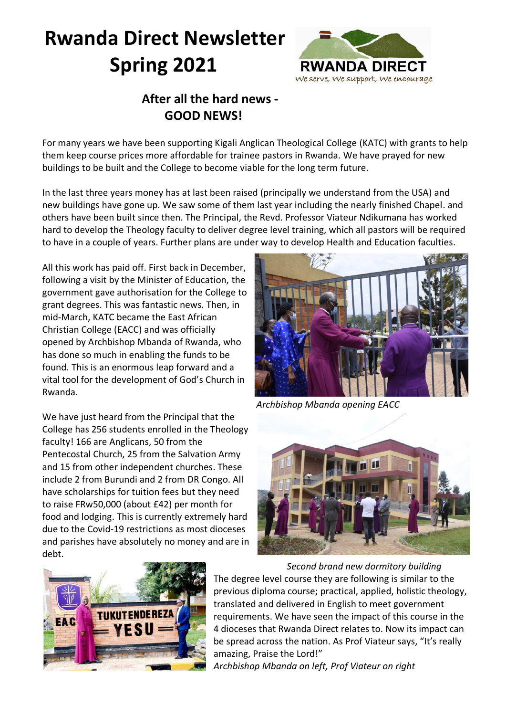# **Rwanda Direct Newsletter Spring 2021**



## **After all the hard news - GOOD NEWS!**

For many years we have been supporting Kigali Anglican Theological College (KATC) with grants to help them keep course prices more affordable for trainee pastors in Rwanda. We have prayed for new buildings to be built and the College to become viable for the long term future.

In the last three years money has at last been raised (principally we understand from the USA) and new buildings have gone up. We saw some of them last year including the nearly finished Chapel. and others have been built since then. The Principal, the Revd. Professor Viateur Ndikumana has worked hard to develop the Theology faculty to deliver degree level training, which all pastors will be required to have in a couple of years. Further plans are under way to develop Health and Education faculties.

All this work has paid off. First back in December, following a visit by the Minister of Education, the government gave authorisation for the College to grant degrees. This was fantastic news. Then, in mid-March, KATC became the East African Christian College (EACC) and was officially opened by Archbishop Mbanda of Rwanda, who has done so much in enabling the funds to be found. This is an enormous leap forward and a vital tool for the development of God's Church in Rwanda.

We have just heard from the Principal that the College has 256 students enrolled in the Theology faculty! 166 are Anglicans, 50 from the Pentecostal Church, 25 from the Salvation Army and 15 from other independent churches. These include 2 from Burundi and 2 from DR Congo. All have scholarships for tuition fees but they need to raise FRw50,000 (about £42) per month for food and lodging. This is currently extremely hard due to the Covid-19 restrictions as most dioceses and parishes have absolutely no money and are in debt.



*Archbishop Mbanda opening EACC*





*Second brand new dormitory building* The degree level course they are following is similar to the previous diploma course; practical, applied, holistic theology, translated and delivered in English to meet government requirements. We have seen the impact of this course in the 4 dioceses that Rwanda Direct relates to. Now its impact can be spread across the nation. As Prof Viateur says, "It's really amazing, Praise the Lord!" *Archbishop Mbanda on left, Prof Viateur on right*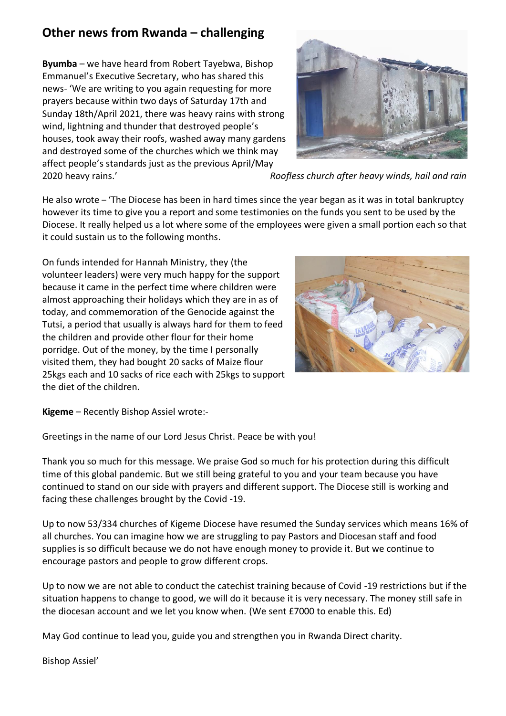## **Other news from Rwanda – challenging**

**Byumba** – we have heard from Robert Tayebwa, Bishop Emmanuel's Executive Secretary, who has shared this news- 'We are writing to you again requesting for more prayers because within two days of Saturday 17th and Sunday 18th/April 2021, there was heavy rains with strong wind, lightning and thunder that destroyed people's houses, took away their roofs, washed away many gardens and destroyed some of the churches which we think may affect people's standards just as the previous April/May



2020 heavy rains.' *Roofless church after heavy winds, hail and rain*

He also wrote – 'The Diocese has been in hard times since the year began as it was in total bankruptcy however its time to give you a report and some testimonies on the funds you sent to be used by the Diocese. It really helped us a lot where some of the employees were given a small portion each so that it could sustain us to the following months.

On funds intended for Hannah Ministry, they (the volunteer leaders) were very much happy for the support because it came in the perfect time where children were almost approaching their holidays which they are in as of today, and commemoration of the Genocide against the Tutsi, a period that usually is always hard for them to feed the children and provide other flour for their home porridge. Out of the money, by the time I personally visited them, they had bought 20 sacks of Maize flour 25kgs each and 10 sacks of rice each with 25kgs to support the diet of the children.



**Kigeme** – Recently Bishop Assiel wrote:-

Greetings in the name of our Lord Jesus Christ. Peace be with you!

Thank you so much for this message. We praise God so much for his protection during this difficult time of this global pandemic. But we still being grateful to you and your team because you have continued to stand on our side with prayers and different support. The Diocese still is working and facing these challenges brought by the Covid -19.

Up to now 53/334 churches of Kigeme Diocese have resumed the Sunday services which means 16% of all churches. You can imagine how we are struggling to pay Pastors and Diocesan staff and food supplies is so difficult because we do not have enough money to provide it. But we continue to encourage pastors and people to grow different crops.

Up to now we are not able to conduct the catechist training because of Covid -19 restrictions but if the situation happens to change to good, we will do it because it is very necessary. The money still safe in the diocesan account and we let you know when. (We sent £7000 to enable this. Ed)

May God continue to lead you, guide you and strengthen you in Rwanda Direct charity.

Bishop Assiel'